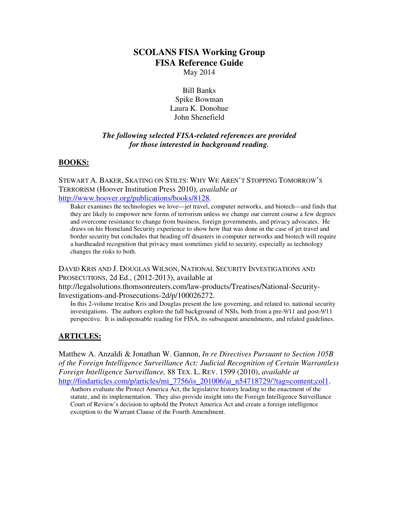# **SCOLANS FISA Working Group FISA Reference Guide**

May 2014

Bill Banks Spike Bowman Laura K. Donohue John Shenefield

## *The following selected FISA-related references are provided for those interested in background reading.*

#### **BOOKS:**

STEWART A. BAKER, SKATING ON STILTS: WHY WE AREN'T STOPPING TOMORROW'S TERRORISM (Hoover Institution Press 2010), *available at*  http://www.hoover.org/publications/books/8128.

Baker examines the technologies we love—jet travel, computer networks, and biotech—and finds that they are likely to empower new forms of terrorism unless we change our current course a few degrees and overcome resistance to change from business, foreign governments, and privacy advocates. He draws on his Homeland Security experience to show how that was done in the case of jet travel and border security but concludes that heading off disasters in computer networks and biotech will require a hardheaded recognition that privacy must sometimes yield to security, especially as technology changes the risks to both.

DAVID KRIS AND J. DOUGLAS WILSON, NATIONAL SECURITY INVESTIGATIONS AND PROSECUTIONS, 2d Ed., (2012-2013), available at

http://legalsolutions.thomsonreuters.com/law-products/Treatises/National-Security-Investigations-and-Prosecutions-2d/p/100026272.

In this 2-volume treatise Kris and Douglas present the law governing, and related to, national security investigations. The authors explore the full background of NSIs, both from a pre-9/11 and post-9/11 perspective. It is indispensable reading for FISA, its subsequent amendments, and related guidelines.

#### **ARTICLES:**

Matthew A. Anzaldi & Jonathan W. Gannon, *In re Directives Pursuant to Section 105B of the Foreign Intelligence Surveillance Act: Judicial Recognition of Certain Warrantless Foreign Intelligence Surveillance,* 88 TEX. L. REV. 1599 (2010), *available at* http://findarticles.com/p/articles/mi\_7756/is\_201006/ai\_n54718729/?tag=content;col1.

Authors evaluate the Protect America Act, the legislative history leading to the enactment of the statute, and its implementation. They also provide insight into the Foreign Intelligence Surveillance Court of Review's decision to uphold the Protect America Act and create a foreign intelligence exception to the Warrant Clause of the Fourth Amendment.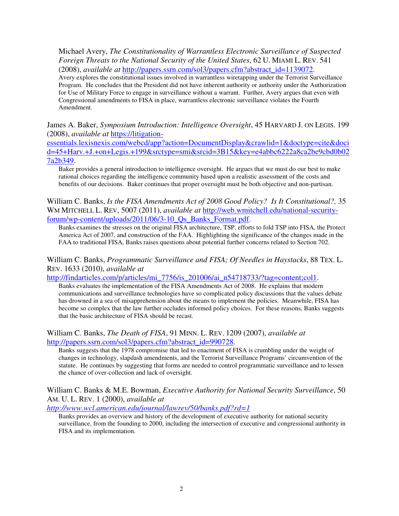Michael Avery, *The Constitutionality of Warrantless Electronic Surveillance of Suspected Foreign Threats to the National Security of the United States*, 62 U. MIAMI L. REV. 541 (2008), *available at* http://papers.ssrn.com/sol3/papers.cfm?abstract\_id=1139072. Avery explores the constitutional issues involved in warrantless wiretapping under the Terrorist Surveillance Program. He concludes that the President did not have inherent authority or authority under the Authorization for Use of Military Force to engage in surveillance without a warrant. Further, Avery argues that even with Congressional amendments to FISA in place, warrantless electronic surveillance violates the Fourth Amendment.

James A. Baker, *Symposium Introduction: Intelligence Oversight*, 45 HARVARD J. ON LEGIS. 199 (2008), *available at* https://litigation-

essentials.lexisnexis.com/webcd/app?action=DocumentDisplay&crawlid=1&doctype=cite&doci d=45+Harv.+J.+on+Legis.+199&srctype=smi&srcid=3B15&key=e4abbc6222a8ca2be9cbd0b02 7a2b349.

Baker provides a general introduction to intelligence oversight. He argues that we must do our best to make rational choices regarding the intelligence community based upon a realistic assessment of the costs and benefits of our decisions. Baker continues that proper oversight must be both objective and non-partisan.

William C. Banks, *Is the FISA Amendments Act of 2008 Good Policy? Is It Constitutional?,* 35 WM MITCHELL L. REV, 5007 (2011), *available at* http://web.wmitchell.edu/national-securityforum/wp-content/uploads/2011/06/3-10\_Qs\_Banks\_Format.pdf.

Banks examines the stresses on the original FISA architecture, TSP, efforts to fold TSP into FISA, the Protect America Act of 2007, and construction of the FAA. Highlighting the significance of the changes made in the FAA to traditional FISA, Banks raises questions about potential further concerns related to Section 702.

William C. Banks, *Programmatic Surveillance and FISA; Of Needles in Haystacks*, 88 TEX. L. REV. 1633 (2010), *available at*

http://findarticles.com/p/articles/mi\_7756/is\_201006/ai\_n54718733/?tag=content;col1.

Banks evaluates the implementation of the FISA Amendments Act of 2008. He explains that modern communications and surveillance technologies have so complicated policy discussions that the values debate has drowned in a sea of misapprehension about the means to implement the policies. Meanwhile, FISA has become so complex that the law further occludes informed policy choices. For these reasons, Banks suggests that the basic architecture of FISA should be recast.

William C. Banks, *The Death of FISA*, 91 MINN. L. REV. 1209 (2007), *available at*  http://papers.ssrn.com/sol3/papers.cfm?abstract\_id=990728.

Banks suggests that the 1978 compromise that led to enactment of FISA is crumbling under the weight of changes in technology, slapdash amendments, and the Terrorist Surveillance Programs' circumvention of the statute. He continues by suggesting that forms are needed to control programmatic surveillance and to lessen the chance of over-collection and lack of oversight.

William C. Banks & M.E. Bowman, *Executive Authority for National Security Surveillance*, 50 AM. U. L. REV. 1 (2000), *available at* 

*http://www.wcl.american.edu/journal/lawrev/50/banks.pdf?rd=1*

Banks provides an overview and history of the development of executive authority for national security surveillance, from the founding to 2000, including the intersection of executive and congressional authority in FISA and its implementation.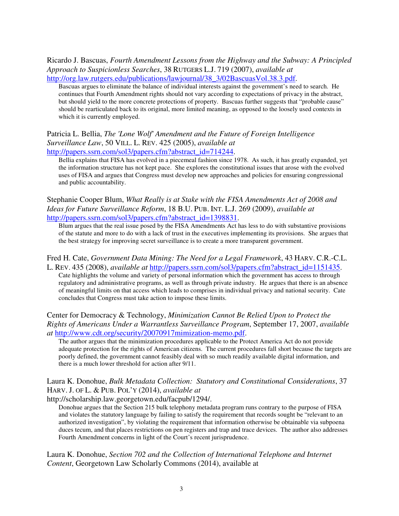Ricardo J. Bascuas, *Fourth Amendment Lessons from the Highway and the Subway: A Principled Approach to Suspicionless Searches*, 38 RUTGERS L.J. 719 (2007), *available at* http://org.law.rutgers.edu/publications/lawjournal/38\_3/02BascuasVol.38.3.pdf.

Bascuas argues to eliminate the balance of individual interests against the government's need to search. He continues that Fourth Amendment rights should not vary according to expectations of privacy in the abstract, but should yield to the more concrete protections of property. Bascuas further suggests that "probable cause" should be rearticulated back to its original, more limited meaning, as opposed to the loosely used contexts in which it is currently employed.

## Patricia L. Bellia, *The 'Lone Wolf' Amendment and the Future of Foreign Intelligence Surveillance Law*, 50 VILL. L. REV. 425 (2005), *available at*

http://papers.ssrn.com/sol3/papers.cfm?abstract\_id=714244.

Bellia explains that FISA has evolved in a piecemeal fashion since 1978. As such, it has greatly expanded, yet the information structure has not kept pace. She explores the constitutional issues that arose with the evolved uses of FISA and argues that Congress must develop new approaches and policies for ensuring congressional and public accountability.

Stephanie Cooper Blum, *What Really is at Stake with the FISA Amendments Act of 2008 and Ideas for Future Surveillance Reform*, 18 B.U. PUB. INT. L.J. 269 (2009), *available at* http://papers.ssrn.com/sol3/papers.cfm?abstract\_id=1398831.

Blum argues that the real issue posed by the FISA Amendments Act has less to do with substantive provisions of the statute and more to do with a lack of trust in the executives implementing its provisions. She argues that the best strategy for improving secret surveillance is to create a more transparent government.

## Fred H. Cate, *Government Data Mining: The Need for a Legal Framework*, 43 HARV. C.R.-C.L.

L. REV. 435 (2008), *available at* http://papers.ssrn.com/sol3/papers.cfm?abstract\_id=1151435. Cate highlights the volume and variety of personal information which the government has access to through regulatory and administrative programs, as well as through private industry. He argues that there is an absence of meaningful limits on that access which leads to comprises in individual privacy and national security. Cate concludes that Congress must take action to impose these limits.

Center for Democracy & Technology, *Minimization Cannot Be Relied Upon to Protect the Rights of Americans Under a Warrantless Surveillance Program*, September 17, 2007, *available at* http://www.cdt.org/security/20070917mimization-memo.pdf.

The author argues that the minimization procedures applicable to the Protect America Act do not provide adequate protection for the rights of American citizens. The current procedures fall short because the targets are poorly defined, the government cannot feasibly deal with so much readily available digital information, and there is a much lower threshold for action after 9/11.

#### Laura K. Donohue, *Bulk Metadata Collection: Statutory and Constitutional Considerations*, 37 HARV. J. OF L. & PUB. POL'Y (2014), *available at*

http://scholarship.law.georgetown.edu/facpub/1294/.

Donohue argues that the Section 215 bulk telephony metadata program runs contrary to the purpose of FISA and violates the statutory language by failing to satisfy the requirement that records sought be "relevant to an authorized investigation", by violating the requirement that information otherwise be obtainable via subpoena duces tecum, and that places restrictions on pen registers and trap and trace devices. The author also addresses Fourth Amendment concerns in light of the Court's recent jurisprudence.

Laura K. Donohue, *Section 702 and the Collection of International Telephone and Internet Content*, Georgetown Law Scholarly Commons (2014), available at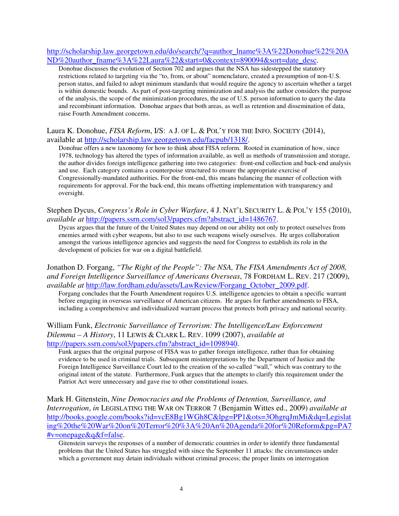http://scholarship.law.georgetown.edu/do/search/?q=author\_lname%3A%22Donohue%22%20A ND%20author\_fname%3A%22Laura%22&start=0&context=890094&sort=date\_desc.

Donohue discusses the evolution of Section 702 and argues that the NSA has sidestepped the statutory restrictions related to targeting via the "to, from, or about" nomenclature, created a presumption of non-U.S. person status, and failed to adopt minimum standards that would require the agency to ascertain whether a target is within domestic bounds. As part of post-targeting minimization and analysis the author considers the purpose of the analysis, the scope of the minimization procedures, the use of U.S. person information to query the data and recombinant information. Donohue argues that both areas, as well as retention and dissemination of data, raise Fourth Amendment concerns.

Laura K. Donohue, *FISA Reform*, I/S: A J. OF L. & POL'Y FOR THE INFO. SOCIETY (2014), available at http://scholarship.law.georgetown.edu/facpub/1318/.

Donohue offers a new taxonomy for how to think about FISA reform. Rooted in examination of how, since 1978, technology has altered the types of information available, as well as methods of transmission and storage, the author divides foreign intelligence gathering into two categories: front-end collection and back-end analysis and use. Each category contains a counterpoise structured to ensure the appropriate exercise of Congressionally-mandated authorities. For the front-end, this means balancing the manner of collection with requirements for approval. For the back-end, this means offsetting implementation with transparency and oversight.

Stephen Dycus, *Congress's Role in Cyber Warfare*, 4 J. NAT'L SECURITY L. & POL'Y 155 (2010), *available at* http://papers.ssrn.com/sol3/papers.cfm?abstract\_id=1486767.

Dycus argues that the future of the United States may depend on our ability not only to protect ourselves from enemies armed with cyber weapons, but also to use such weapons wisely ourselves. He urges collaboration amongst the various intelligence agencies and suggests the need for Congress to establish its role in the development of policies for war on a digital battlefield.

Jonathon D. Forgang, *"The Right of the People": The NSA, The FISA Amendments Act of 2008, and Foreign Intelligence Surveillance of Americans Overseas*, 78 FORDHAM L. REV. 217 (2009), *available at* http://law.fordham.edu/assets/LawReview/Forgang\_October\_2009.pdf.

Forgang concludes that the Fourth Amendment requires U.S. intelligence agencies to obtain a specific warrant before engaging in overseas surveillance of American citizens. He argues for further amendments to FISA, including a comprehensive and individualized warrant process that protects both privacy and national security.

William Funk, *Electronic Surveillance of Terrorism: The Intelligence/Law Enforcement Dilemma – A History*, 11 LEWIS & CLARK L. REV. 1099 (2007), *available at* http://papers.ssrn.com/sol3/papers.cfm?abstract\_id=1098940.

Funk argues that the original purpose of FISA was to gather foreign intelligence, rather than for obtaining evidence to be used in criminal trials. Subsequent misinterpretations by the Department of Justice and the Foreign Intelligence Surveillance Court led to the creation of the so-called "wall," which was contrary to the original intent of the statute. Furthermore, Funk argues that the attempts to clarify this requirement under the Patriot Act were unnecessary and gave rise to other constitutional issues.

Mark H. Gitenstein, *Nine Democracies and the Problems of Detention, Surveillance, and Interrogation*, *in* LEGISLATING THE WAR ON TERROR 7 (Benjamin Wittes ed., 2009) *available at* http://books.google.com/books?id=vcE8Bg1WGh8C&lpg=PP1&ots=3OhgrqJmMi&dq=Legislat ing%20the%20War%20on%20Terror%20%3A%20An%20Agenda%20for%20Reform&pg=PA7 #v=onepage&q&f=false.

Gitenstein surveys the responses of a number of democratic countries in order to identify three fundamental problems that the United States has struggled with since the September 11 attacks: the circumstances under which a government may detain individuals without criminal process; the proper limits on interrogation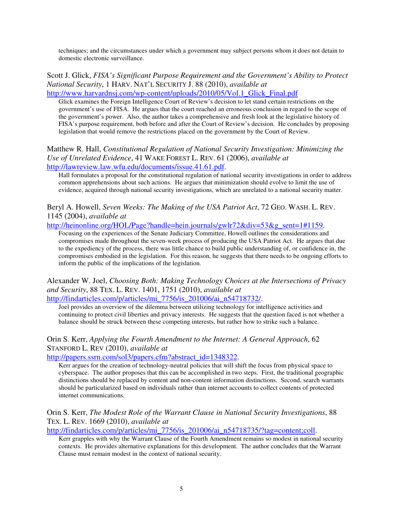techniques; and the circumstances under which a government may subject persons whom it does not detain to domestic electronic surveillance.

#### Scott J. Glick, *FISA's Significant Purpose Requirement and the Government's Ability to Protect National Security*, 1 HARV. NAT'L SECURITY J. 88 (2010), *available at*  http://www.harvardnsj.com/wp-content/uploads/2010/05/Vol.1\_Glick\_Final.pdf

Glick examines the Foreign Intelligence Court of Review's decision to let stand certain restrictions on the government's use of FISA. He argues that the court reached an erroneous conclusion in regard to the scope of the government's power. Also, the author takes a comprehensive and fresh look at the legislative history of FISA's purpose requirement, both before and after the Court of Review's decision. He concludes by proposing legislation that would remove the restrictions placed on the government by the Court of Review.

#### Matthew R. Hall, *Constitutional Regulation of National Security Investigation: Minimizing the Use of Unrelated Evidence*, 41 WAKE FOREST L. REV. 61 (2006), *available at* http://lawreview.law.wfu.edu/documents/issue.41.61.pdf.

Hall formulates a proposal for the constitutional regulation of national security investigations in order to address common apprehensions about such actions. He argues that minimization should evolve to limit the use of evidence, acquired through national security investigations, which are unrelated to a national security matter.

#### Beryl A. Howell, *Seven Weeks: The Making of the USA Patriot Act*, 72 GEO. WASH. L. REV. 1145 (2004), *available at*

http://heinonline.org/HOL/Page?handle=hein.journals/gwlr72&div=53&g\_sent=1#1159.

Focusing on the experiences of the Senate Judiciary Committee, Howell outlines the considerations and compromises made throughout the seven-week process of producing the USA Patriot Act. He argues that due to the expediency of the process, there was little chance to build public understanding of, or confidence in, the compromises embodied in the legislation. For this reason, he suggests that there needs to be ongoing efforts to inform the public of the implications of the legislation.

## Alexander W. Joel, *Choosing Both: Making Technology Choices at the Intersections of Privacy and Security*, 88 TEX. L. REV. 1401, 1751 (2010), *available at*

http://findarticles.com/p/articles/mi\_7756/is\_201006/ai\_n54718732/.

Joel provides an overview of the dilemma between utilizing technology for intelligence activities and continuing to protect civil liberties and privacy interests. He suggests that the question faced is not whether a balance should be struck between these competing interests, but rather how to strike such a balance.

## Orin S. Kerr, *Applying the Fourth Amendment to the Internet: A General Approach*, 62 STANFORD L. REV (2010), *available at*

http://papers.ssrn.com/sol3/papers.cfm?abstract\_id=1348322.

Kerr argues for the creation of technology-neutral policies that will shift the focus from physical space to cyberspace. The author proposes that this can be accomplished in two steps. First, the traditional geographic distinctions should be replaced by content and non-content information distinctions. Second, search warrants should be particularized based on individuals rather than internet accounts to collect contents of protected internet communications.

#### Orin S. Kerr, *The Modest Role of the Warrant Clause in National Security Investigations*, 88 TEX. L. REV. 1669 (2010), *available at*

http://findarticles.com/p/articles/mi<sup>7756</sup>/is\_201006/ai\_n54718735/?tag=content;coll.

Kerr grapples with why the Warrant Clause of the Fourth Amendment remains so modest in national security contexts. He provides alternative explanations for this development. The author concludes that the Warrant Clause must remain modest in the context of national security.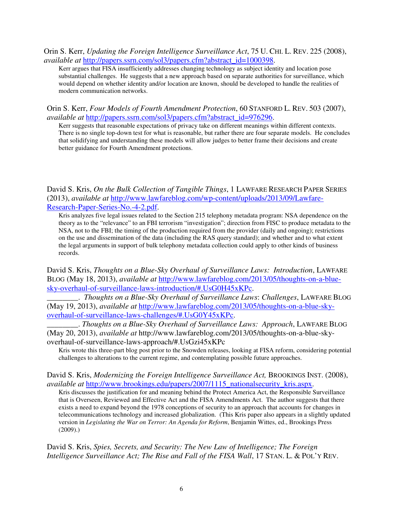#### Orin S. Kerr, *Updating the Foreign Intelligence Surveillance Act*, 75 U. CHI. L. REV. 225 (2008), *available at* http://papers.ssrn.com/sol3/papers.cfm?abstract\_id=1000398.

Kerr argues that FISA insufficiently addresses changing technology as subject identity and location pose substantial challenges. He suggests that a new approach based on separate authorities for surveillance, which would depend on whether identity and/or location are known, should be developed to handle the realities of modern communication networks.

#### Orin S. Kerr, *Four Models of Fourth Amendment Protection*, 60 STANFORD L. REV. 503 (2007), *available at* http://papers.ssrn.com/sol3/papers.cfm?abstract\_id=976296.

Kerr suggests that reasonable expectations of privacy take on different meanings within different contexts. There is no single top-down test for what is reasonable, but rather there are four separate models. He concludes that solidifying and understanding these models will allow judges to better frame their decisions and create better guidance for Fourth Amendment protections.

David S. Kris, *On the Bulk Collection of Tangible Things*, 1 LAWFARE RESEARCH PAPER SERIES (2013), *available at* http://www.lawfareblog.com/wp-content/uploads/2013/09/Lawfare-Research-Paper-Series-No.-4-2.pdf.

Kris analyzes five legal issues related to the Section 215 telephony metadata program: NSA dependence on the theory as to the "relevance" to an FBI terrorism "investigation"; direction from FISC to produce metadata to the NSA, not to the FBI; the timing of the production required from the provider (daily and ongoing); restrictions on the use and dissemination of the data (including the RAS query standard); and whether and to what extent the legal arguments in support of bulk telephony metadata collection could apply to other kinds of business records.

David S. Kris, *Thoughts on a Blue-Sky Overhaul of Surveillance Laws: Introduction*, LAWFARE BLOG (May 18, 2013), *available at* http://www.lawfareblog.com/2013/05/thoughts-on-a-bluesky-overhaul-of-surveillance-laws-introduction/#.UsG0H45xKPc.

\_\_\_\_\_\_\_\_. *Thoughts on a Blue-Sky Overhaul of Surveillance Laws*: *Challenges*, LAWFARE BLOG (May 19, 2013), *available at* http://www.lawfareblog.com/2013/05/thoughts-on-a-blue-skyoverhaul-of-surveillance-laws-challenges/#.UsG0Y45xKPc.

\_\_\_\_\_\_\_\_. *Thoughts on a Blue-Sky Overhaul of Surveillance Laws: Approach*, LAWFARE BLOG (May 20, 2013), *available at* http://www.lawfareblog.com/2013/05/thoughts-on-a-blue-skyoverhaul-of-surveillance-laws-approach/#.UsGzi45xKPc

Kris wrote this three-part blog post prior to the Snowden releases, looking at FISA reform, considering potential challenges to alterations to the current regime, and contemplating possible future approaches.

#### David S. Kris, *Modernizing the Foreign Intelligence Surveillance Act*, BROOKINGS INST. (2008), *available at* http://www.brookings.edu/papers/2007/1115\_nationalsecurity\_kris.aspx.

Kris discusses the justification for and meaning behind the Protect America Act, the Responsible Surveillance that is Overseen, Reviewed and Effective Act and the FISA Amendments Act. The author suggests that there exists a need to expand beyond the 1978 conceptions of security to an approach that accounts for changes in telecommunications technology and increased globalization. (This Kris paper also appears in a slightly updated version in *Legislating the War on Terror: An Agenda for Reform*, Benjamin Wittes, ed., Brookings Press  $(2009)$ .)

David S. Kris, *Spies, Secrets, and Security: The New Law of Intelligence; The Foreign Intelligence Surveillance Act; The Rise and Fall of the FISA Wall*, 17 STAN, L. & POL'Y REV.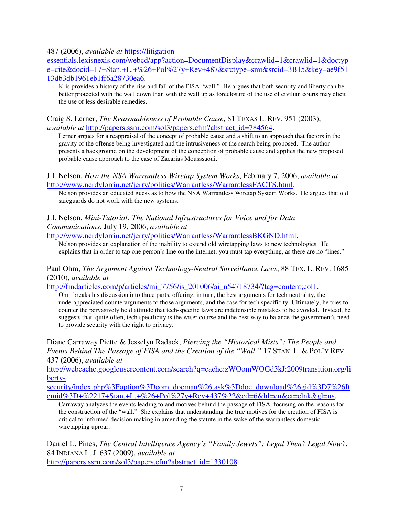487 (2006), *available at* https://litigation-

essentials.lexisnexis.com/webcd/app?action=DocumentDisplay&crawlid=1&crawlid=1&doctyp e=cite&docid=17+Stan.+L.+%26+Pol%27y+Rev+487&srctype=smi&srcid=3B15&key=ae9f51 13db3db1961eb1ff6a28730ea6.

Kris provides a history of the rise and fall of the FISA "wall." He argues that both security and liberty can be better protected with the wall down than with the wall up as foreclosure of the use of civilian courts may elicit the use of less desirable remedies.

Craig S. Lerner, *The Reasonableness of Probable Cause*, 81 TEXAS L. REV. 951 (2003), *available at* http://papers.ssrn.com/sol3/papers.cfm?abstract\_id=784564.

Lerner argues for a reappraisal of the concept of probable cause and a shift to an approach that factors in the gravity of the offense being investigated and the intrusiveness of the search being proposed. The author presents a background on the development of the conception of probable cause and applies the new proposed probable cause approach to the case of Zacarias Mousssaoui.

```
J.I. Nelson, How the NSA Warrantless Wiretap System Works, February 7, 2006, available at 
http://www.nerdylorrin.net/jerry/politics/Warrantless/WarrantlessFACTS.html.
```
Nelson provides an educated guess as to how the NSA Warrantless Wiretap System Works. He argues that old safeguards do not work with the new systems.

#### J.I. Nelson, *Mini-Tutorial: The National Infrastructures for Voice and for Data Communications*, July 19, 2006, *available at*

http://www.nerdylorrin.net/jerry/politics/Warrantless/WarrantlessBKGND.html.

Nelson provides an explanation of the inability to extend old wiretapping laws to new technologies. He explains that in order to tap one person's line on the internet, you must tap everything, as there are no "lines."

Paul Ohm, *The Argument Against Technology-Neutral Surveillance Laws*, 88 TEX. L. REV. 1685 (2010), *available at*

http://findarticles.com/p/articles/mi\_7756/is\_201006/ai\_n54718734/?tag=content;col1.

Ohm breaks his discussion into three parts, offering, in turn, the best arguments for tech neutrality, the underappreciated counterarguments to those arguments, and the case for tech specificity. Ultimately, he tries to counter the pervasively held attitude that tech-specific laws are indefensible mistakes to be avoided. Instead, he suggests that, quite often, tech specificity is the wiser course and the best way to balance the government's need to provide security with the right to privacy.

Diane Carraway Piette & Jesselyn Radack, *Piercing the "Historical Mists": The People and Events Behind The Passage of FISA and the Creation of the "Wall,"* 17 STAN. L. & POL'Y REV. 437 (2006), *available at* 

http://webcache.googleusercontent.com/search?q=cache:zWOomWOGd3kJ:2009transition.org/li berty-

security/index.php%3Foption%3Dcom\_docman%26task%3Ddoc\_download%26gid%3D7%26It emid%3D+%2217+Stan.+L.+%26+Pol%27y+Rev+437%22&cd=6&hl=en&ct=clnk&gl=us.

Carraway analyzes the events leading to and motives behind the passage of FISA, focusing on the reasons for the construction of the "wall." She explains that understanding the true motives for the creation of FISA is critical to informed decision making in amending the statute in the wake of the warrantless domestic wiretapping uproar.

Daniel L. Pines, *The Central Intelligence Agency's "Family Jewels": Legal Then? Legal Now?*, 84 INDIANA L. J. 637 (2009), *available at* http://papers.ssrn.com/sol3/papers.cfm?abstract\_id=1330108.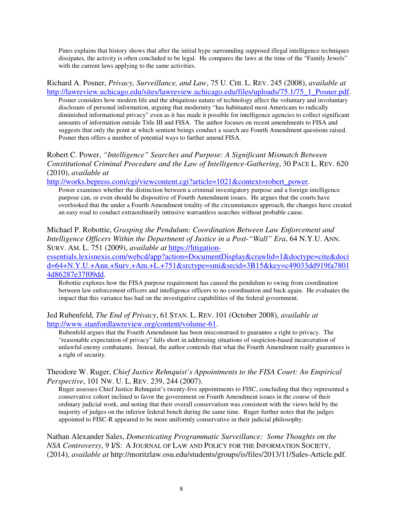Pines explains that history shows that after the initial hype surrounding supposed illegal intelligence techniques dissipates, the activity is often concluded to be legal. He compares the laws at the time of the "Family Jewels" with the current laws applying to the same activities.

Richard A. Posner, *Privacy, Surveillance, and Law*, 75 U. CHI. L. REV. 245 (2008), *available at*  http://lawreview.uchicago.edu/sites/lawreview.uchicago.edu/files/uploads/75.1/75\_1\_Posner.pdf. Posner considers how modern life and the ubiquitous nature of technology affect the voluntary and involuntary disclosure of personal information, arguing that modernity "has habituated most Americans to radically diminished informational privacy" even as it has made it possible for intelligence agencies to collect significant amounts of information outside Title III and FISA. The author focuses on recent amendments to FISA and suggests that only the point at which sentient beings conduct a search are Fourth Amendment questions raised. Posner then offers a number of potential ways to further amend FISA.

Robert C. Power, *"Intelligence" Searches and Purpose: A Significant Mismatch Between Constitutional Criminal Procedure and the Law of Intelligence-Gathering*, 30 PACE L. REV. 620 (2010), *available at*

http://works.bepress.com/cgi/viewcontent.cgi?article=1021&context=robert\_power.

Power examines whether the distinction between a criminal investigatory purpose and a foreign intelligence purpose can, or even should be dispositive of Fourth Amendment issues. He argues that the courts have overlooked that the under a Fourth Amendment totality of the circumstances approach, the changes have created an easy road to conduct extraordinarily intrusive warrantless searches without probable cause.

Michael P. Robottie, *Grasping the Pendulum: Coordination Between Law Enforcement and Intelligence Officers Within the Department of Justice in a Post-"Wall" Era*, 64 N.Y.U. ANN. SURV. AM. L. 751 (2009), *available at* https://litigation-

essentials.lexisnexis.com/webcd/app?action=DocumentDisplay&crawlid=1&doctype=cite&doci d=64+N.Y.U.+Ann.+Surv.+Am.+L.+751&srctype=smi&srcid=3B15&key=c49033dd919fa7801 4d86287e37f09dd.

Robottie explores how the FISA purpose requirement has caused the pendulum to swing from coordination between law enforcement officers and intelligence officers to no coordination and back again. He evaluates the impact that this variance has had on the investigative capabilities of the federal government.

Jed Rubenfeld, *The End of Privacy*, 61 STAN. L. REV. 101 (October 2008), *available at* http://www.stanfordlawreview.org/content/volume-61.

Rubenfeld argues that the Fourth Amendment has been misconstrued to guarantee a right to privacy. The "reasonable expectation of privacy" falls short in addressing situations of suspicion-based incarceration of unlawful enemy combatants. Instead, the author contends that what the Fourth Amendment really guarantees is a right of security.

#### Theodore W. Ruger, *Chief Justice Rehnquist's Appointments to the FISA Court: An Empirical Perspective*, 101 NW. U. L. REV. 239, 244 (2007).

Ruger assesses Chief Justice Rehnquist's twenty-five appointments to FISC, concluding that they represented a conservative cohort inclined to favor the government on Fourth Amendment issues in the course of their ordinary judicial work, and noting that their overall conservatism was consistent with the views held by the majority of judges on the inferior federal bench during the same time. Ruger further notes that the judges appointed to FISC-R appeared to be more uniformly conservative in their judicial philosophy.

Nathan Alexander Sales, *Domesticating Programmatic Surveillance: Some Thoughts on the NSA Controversy*, 9 I/S: A JOURNAL OF LAW AND POLICY FOR THE INFORMATION SOCIETY, (2014), *available at* http://moritzlaw.osu.edu/students/groups/is/files/2013/11/Sales-Article.pdf.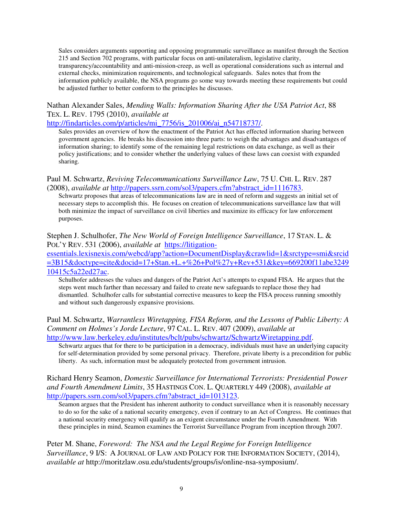Sales considers arguments supporting and opposing programmatic surveillance as manifest through the Section 215 and Section 702 programs, with particular focus on anti-unilateralism, legislative clarity, transparency/accountability and anti-mission-creep, as well as operational considerations such as internal and external checks, minimization requirements, and technological safeguards. Sales notes that from the information publicly available, the NSA programs go some way towards meeting these requirements but could be adjusted further to better conform to the principles he discusses.

## Nathan Alexander Sales, *Mending Walls: Information Sharing After the USA Patriot Act*, 88 TEX. L. REV. 1795 (2010), *available at*

http://findarticles.com/p/articles/mi\_7756/is\_201006/ai\_n54718737/.

Sales provides an overview of how the enactment of the Patriot Act has effected information sharing between government agencies. He breaks his discussion into three parts: to weigh the advantages and disadvantages of information sharing; to identify some of the remaining legal restrictions on data exchange, as well as their policy justifications; and to consider whether the underlying values of these laws can coexist with expanded sharing.

#### Paul M. Schwartz, *Reviving Telecommunications Surveillance Law*, 75 U. CHI. L. REV. 287 (2008), *available at* http://papers.ssrn.com/sol3/papers.cfm?abstract\_id=1116783.

Schwartz proposes that areas of telecommunications law are in need of reform and suggests an initial set of necessary steps to accomplish this. He focuses on creation of telecommunications surveillance law that will both minimize the impact of surveillance on civil liberties and maximize its efficacy for law enforcement purposes.

Stephen J. Schulhofer, *The New World of Foreign Intelligence Surveillance*, 17 STAN. L. & POL'Y REV. 531 (2006), *available at* https://litigation-

essentials.lexisnexis.com/webcd/app?action=DocumentDisplay&crawlid=1&srctype=smi&srcid =3B15&doctype=cite&docid=17+Stan.+L.+%26+Pol%27y+Rev+531&key=669200f11abe3249 10415c5a22ed27ac.

Schulhofer addresses the values and dangers of the Patriot Act's attempts to expand FISA. He argues that the steps went much farther than necessary and failed to create new safeguards to replace those they had dismantled. Schulhofer calls for substantial corrective measures to keep the FISA process running smoothly and without such dangerously expansive provisions.

#### Paul M. Schwartz, *Warrantless Wiretapping, FISA Reform, and the Lessons of Public Liberty: A Comment on Holmes's Jorde Lecture*, 97 CAL. L. REV. 407 (2009), *available at* http://www.law.berkeley.edu/institutes/bclt/pubs/schwartz/SchwartzWiretapping.pdf.

Schwartz argues that for there to be participation in a democracy, individuals must have an underlying capacity for self-determination provided by some personal privacy. Therefore, private liberty is a precondition for public liberty. As such, information must be adequately protected from government intrusion.

#### Richard Henry Seamon, *Domestic Surveillance for International Terrorists: Presidential Power and Fourth Amendment Limits*, 35 HASTINGS CON. L. QUARTERLY 449 (2008), *available at*  http://papers.ssrn.com/sol3/papers.cfm?abstract\_id=1013123.

Seamon argues that the President has inherent authority to conduct surveillance when it is reasonably necessary to do so for the sake of a national security emergency, even if contrary to an Act of Congress. He continues that a national security emergency will qualify as an exigent circumstance under the Fourth Amendment. With these principles in mind, Seamon examines the Terrorist Surveillance Program from inception through 2007.

Peter M. Shane, *Foreword: The NSA and the Legal Regime for Foreign Intelligence Surveillance*, 9 I/S: A JOURNAL OF LAW AND POLICY FOR THE INFORMATION SOCIETY, (2014), *available at* http://moritzlaw.osu.edu/students/groups/is/online-nsa-symposium/.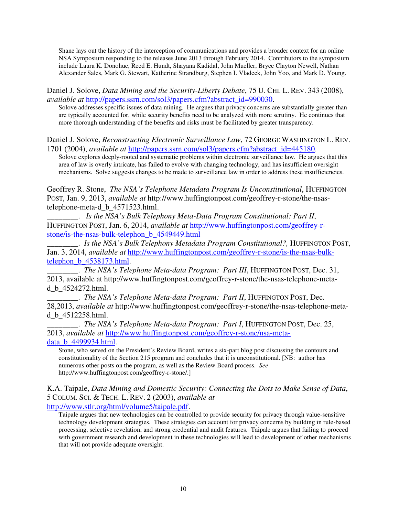Shane lays out the history of the interception of communications and provides a broader context for an online NSA Symposium responding to the releases June 2013 through February 2014. Contributors to the symposium include Laura K. Donohue, Reed E. Hundt, Shayana Kadidal, John Mueller, Bryce Clayton Newell, Nathan Alexander Sales, Mark G. Stewart, Katherine Strandburg, Stephen I. Vladeck, John Yoo, and Mark D. Young.

Daniel J. Solove, *Data Mining and the Security-Liberty Debate*, 75 U. CHI. L. REV. 343 (2008), *available at* http://papers.ssrn.com/sol3/papers.cfm?abstract\_id=990030.

Solove addresses specific issues of data mining. He argues that privacy concerns are substantially greater than are typically accounted for, while security benefits need to be analyzed with more scrutiny. He continues that more thorough understanding of the benefits and risks must be facilitated by greater transparency.

Daniel J. Solove, *Reconstructing Electronic Surveillance Law*, 72 GEORGE WASHINGTON L. REV. 1701 (2004), *available at* http://papers.ssrn.com/sol3/papers.cfm?abstract\_id=445180.

Solove explores deeply-rooted and systematic problems within electronic surveillance law. He argues that this area of law is overly intricate, has failed to evolve with changing technology, and has insufficient oversight mechanisms. Solve suggests changes to be made to surveillance law in order to address these insufficiencies.

Geoffrey R. Stone, *The NSA's Telephone Metadata Program Is Unconstitutional*, HUFFINGTON POST, Jan. 9, 2013, *available at* http://www.huffingtonpost.com/geoffrey-r-stone/the-nsastelephone-meta-d\_b\_4571523.html.

\_\_\_\_\_\_\_\_. *Is the NSA's Bulk Telephony Meta-Data Program Constitutional: Part II*, HUFFINGTON POST, Jan. 6, 2014, *available at* http://www.huffingtonpost.com/geoffrey-rstone/is-the-nsas-bulk-telephon\_b\_4549449.html

\_\_\_\_\_\_\_\_. *Is the NSA's Bulk Telephony Metadata Program Constitutional?,* HUFFINGTON POST, Jan. 3, 2014, *available at* http://www.huffingtonpost.com/geoffrey-r-stone/is-the-nsas-bulktelephon\_b\_4538173.html.

\_\_\_\_\_\_\_\_. *The NSA's Telephone Meta-data Program: Part III*, HUFFINGTON POST, Dec. 31, 2013, available at http://www.huffingtonpost.com/geoffrey-r-stone/the-nsas-telephone-metad\_b\_4524272.html.

\_\_\_\_\_\_\_\_. *The NSA's Telephone Meta-data Program: Part II*, HUFFINGTON POST, Dec. 28,2013, *available at* http://www.huffingtonpost.com/geoffrey-r-stone/the-nsas-telephone-metad\_b\_4512258.html.

\_\_\_\_\_\_\_\_. *The NSA's Telephone Meta-data Program: Part I*, HUFFINGTON POST, Dec. 25, 2013, *available at* http://www.huffingtonpost.com/geoffrey-r-stone/nsa-metadata\_b\_4499934.html.

Stone, who served on the President's Review Board, writes a six-part blog post discussing the contours and constitutionality of the Section 215 program and concludes that it is unconstitutional. [NB: author has numerous other posts on the program, as well as the Review Board process. *See* http://www.huffingtonpost.com/geoffrey-r-stone/.]

K.A. Taipale, *Data Mining and Domestic Security: Connecting the Dots to Make Sense of Data*, 5 COLUM. SCI. & TECH. L. REV. 2 (2003), *available at* 

http://www.stlr.org/html/volume5/taipale.pdf.

Taipale argues that new technologies can be controlled to provide security for privacy through value-sensitive technology development strategies. These strategies can account for privacy concerns by building in rule-based processing, selective revelation, and strong credential and audit features. Taipale argues that failing to proceed with government research and development in these technologies will lead to development of other mechanisms that will not provide adequate oversight.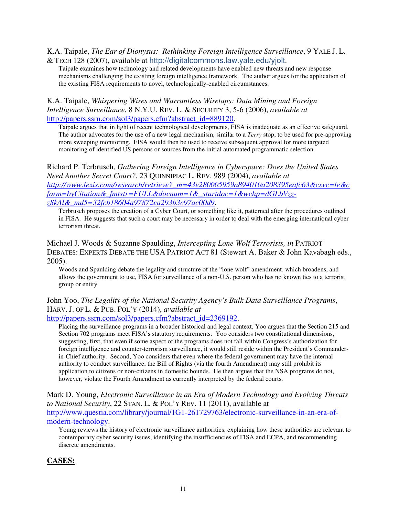K.A. Taipale, *The Ear of Dionysus: Rethinking Foreign Intelligence Surveillance*, 9 YALE J. L. & TECH 128 (2007), available at http://digitalcommons.law.yale.edu/yjolt.

Taipale examines how technology and related developments have enabled new threats and new response mechanisms challenging the existing foreign intelligence framework. The author argues for the application of the existing FISA requirements to novel, technologically-enabled circumstances.

K.A. Taipale, *Whispering Wires and Warrantless Wiretaps: Data Mining and Foreign Intelligence Surveillance*, 8 N.Y.U. REV. L. & SECURITY 3, 5-6 (2006), *available at*  http://papers.ssrn.com/sol3/papers.cfm?abstract\_id=889120.

Taipale argues that in light of recent technological developments, FISA is inadequate as an effective safeguard. The author advocates for the use of a new legal mechanism, similar to a *Terry* stop, to be used for pre-approving more sweeping monitoring. FISA would then be used to receive subsequent approval for more targeted monitoring of identified US persons or sources from the initial automated programmatic selection.

Richard P. Terbrusch, *Gathering Foreign Intelligence in Cyberspace: Does the United States Need Another Secret Court?*, 23 QUINNIPIAC L. REV. 989 (2004), *available at http://www.lexis.com/research/retrieve?\_m=43e280005959a894010a208395eafc63&csvc=le&c form=byCitation&\_fmtstr=FULL&docnum=1&\_startdoc=1&wchp=dGLbVzzzSkAl&\_md5=32fcb18604a97872ea293b3c97ac00d9*.

Terbrusch proposes the creation of a Cyber Court, or something like it, patterned after the procedures outlined in FISA. He suggests that such a court may be necessary in order to deal with the emerging international cyber terrorism threat.

Michael J. Woods & Suzanne Spaulding, *Intercepting Lone Wolf Terrorists, in* PATRIOT DEBATES: EXPERTS DEBATE THE USA PATRIOT ACT 81 (Stewart A. Baker & John Kavabagh eds., 2005).

Woods and Spaulding debate the legality and structure of the "lone wolf" amendment, which broadens, and allows the government to use, FISA for surveillance of a non-U.S. person who has no known ties to a terrorist group or entity

## John Yoo, *The Legality of the National Security Agency's Bulk Data Surveillance Programs*, HARV. J. OF L. & PUB. POL'Y (2014), *available at*

#### http://papers.ssrn.com/sol3/papers.cfm?abstract\_id=2369192.

Placing the surveillance programs in a broader historical and legal context, Yoo argues that the Section 215 and Section 702 programs meet FISA's statutory requirements. Yoo considers two constitutional dimensions, suggesting, first, that even if some aspect of the programs does not fall within Congress's authorization for foreign intelligence and counter-terrorism surveillance, it would still reside within the President's Commanderin-Chief authority. Second, Yoo considers that even where the federal government may have the internal authority to conduct surveillance, the Bill of Rights (via the fourth Amendment) may still prohibit its application to citizens or non-citizens in domestic bounds. He then argues that the NSA programs do not, however, violate the Fourth Amendment as currently interpreted by the federal courts.

Mark D. Young, *Electronic Surveillance in an Era of Modern Technology and Evolving Threats to National Security*, 22 STAN. L. & POL'Y REV. 11 (2011), available at http://www.questia.com/library/journal/1G1-261729763/electronic-surveillance-in-an-era-ofmodern-technology.

Young reviews the history of electronic surveillance authorities, explaining how these authorities are relevant to contemporary cyber security issues, identifying the insufficiencies of FISA and ECPA, and recommending discrete amendments.

## **CASES:**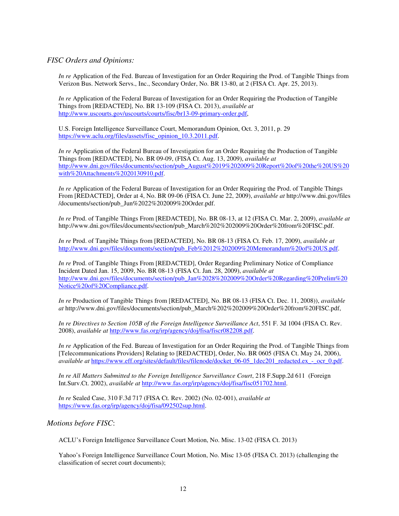#### *FISC Orders and Opinions:*

*In re* Application of the Fed. Bureau of Investigation for an Order Requiring the Prod. of Tangible Things from Verizon Bus. Network Servs., Inc., Secondary Order, No. BR 13-80, at 2 (FISA Ct. Apr. 25, 2013).

*In re* Application of the Federal Bureau of Investigation for an Order Requiring the Production of Tangible Things from [REDACTED], No. BR 13-109 (FISA Ct. 2013), *available at* http://www.uscourts.gov/uscourts/courts/fisc/br13-09-primary-order.pdf,

U.S. Foreign Intelligence Surveillance Court, Memorandum Opinion, Oct. 3, 2011, p. 29 https://www.aclu.org/files/assets/fisc\_opinion\_10.3.2011.pdf.

*In re* Application of the Federal Bureau of Investigation for an Order Requiring the Production of Tangible Things from [REDACTED], No. BR 09-09, (FISA Ct. Aug. 13, 2009), *available at* http://www.dni.gov/files/documents/section/pub\_August%2019%202009%20Report%20of%20the%20US%20 with%20Attachments%2020130910.pdf.

*In re* Application of the Federal Bureau of Investigation for an Order Requiring the Prod. of Tangible Things From [REDACTED], Order at 4, No. BR 09-06 (FISA Ct. June 22, 2009), *available at* http://www.dni.gov/files /documents/section/pub\_Jun%2022%202009%20Order.pdf.

*In re* Prod. of Tangible Things From [REDACTED], No. BR 08-13, at 12 (FISA Ct. Mar. 2, 2009), *available at*  http://www.dni.gov/files/documents/section/pub\_March%202%202009%20Order%20from%20FISC.pdf.

*In re* Prod. of Tangible Things from [REDACTED], No. BR 08-13 (FISA Ct. Feb. 17, 2009), *available at* http://www.dni.gov/files/documents/section/pub\_Feb%2012%202009%20Memorandum%20of%20US.pdf.

*In re* Prod. of Tangible Things From [REDACTED], Order Regarding Preliminary Notice of Compliance Incident Dated Jan. 15, 2009, No. BR 08-13 (FISA Ct. Jan. 28, 2009), *available at* http://www.dni.gov/files/documents/section/pub\_Jan%2028%202009%20Order%20Regarding%20Prelim%20 Notice%20of%20Compliance.pdf.

*In re* Production of Tangible Things from [REDACTED], No. BR 08-13 (FISA Ct. Dec. 11, 2008)), *available at* http://www.dni.gov/files/documents/section/pub\_March%202%202009%20Order%20from%20FISC.pdf,

*In re Directives to Section 105B of the Foreign Intelligence Surveillance Act*, 551 F. 3d 1004 (FISA Ct. Rev. 2008), *available at* http://www.fas.org/irp/agency/doj/fisa/fiscr082208.pdf.

*In re* Application of the Fed. Bureau of Investigation for an Order Requiring the Prod. of Tangible Things from [Telecommunications Providers] Relating to [REDACTED], Order, No. BR 0605 (FISA Ct. May 24, 2006), *available at https://www.eff.org/sites/default/files/filenode/docket* 06-05\_1dec201\_redacted.ex\_-\_ocr\_0.pdf.

*In re All Matters Submitted to the Foreign Intelligence Surveillance Court*, 218 F.Supp.2d 611 (Foreign Int.Surv.Ct. 2002), *available at* http://www.fas.org/irp/agency/doj/fisa/fisc051702.html.

*In re* Sealed Case, 310 F.3d 717 (FISA Ct. Rev. 2002) (No. 02-001), *available at* https://www.fas.org/irp/agency/doj/fisa/092502sup.html.

*Motions before FISC*:

ACLU's Foreign Intelligence Surveillance Court Motion, No. Misc. 13-02 (FISA Ct. 2013)

Yahoo's Foreign Intelligence Surveillance Court Motion, No. Misc 13-05 (FISA Ct. 2013) (challenging the classification of secret court documents);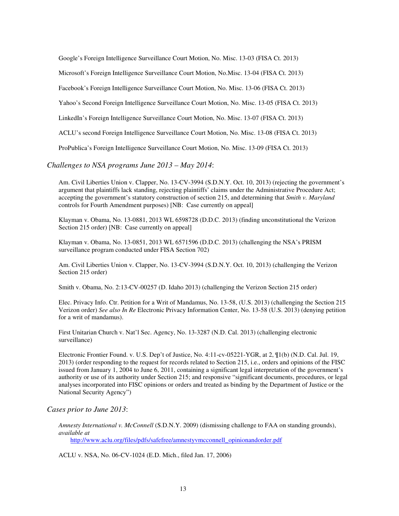Google's Foreign Intelligence Surveillance Court Motion, No. Misc. 13-03 (FISA Ct. 2013)

Microsoft's Foreign Intelligence Surveillance Court Motion, No.Misc. 13-04 (FISA Ct. 2013)

Facebook's Foreign Intelligence Surveillance Court Motion, No. Misc. 13-06 (FISA Ct. 2013)

Yahoo's Second Foreign Intelligence Surveillance Court Motion, No. Misc. 13-05 (FISA Ct. 2013)

LinkedIn's Foreign Intelligence Surveillance Court Motion, No. Misc. 13-07 (FISA Ct. 2013)

ACLU's second Foreign Intelligence Surveillance Court Motion, No. Misc. 13-08 (FISA Ct. 2013)

ProPublica's Foreign Intelligence Surveillance Court Motion, No. Misc. 13-09 (FISA Ct. 2013)

*Challenges to NSA programs June 2013 – May 2014*:

Am. Civil Liberties Union v. Clapper, No. 13-CV-3994 (S.D.N.Y. Oct. 10, 2013) (rejecting the government's argument that plaintiffs lack standing, rejecting plaintiffs' claims under the Administrative Procedure Act; accepting the government's statutory construction of section 215, and determining that *Smith v. Maryland* controls for Fourth Amendment purposes) [NB: Case currently on appeal]

Klayman v. Obama, No. 13-0881, 2013 WL 6598728 (D.D.C. 2013) (finding unconstitutional the Verizon Section 215 order) [NB: Case currently on appeal]

Klayman v. Obama, No. 13-0851, 2013 WL 6571596 (D.D.C. 2013) (challenging the NSA's PRISM surveillance program conducted under FISA Section 702)

Am. Civil Liberties Union v. Clapper, No. 13-CV-3994 (S.D.N.Y. Oct. 10, 2013) (challenging the Verizon Section 215 order)

Smith v. Obama, No. 2:13-CV-00257 (D. Idaho 2013) (challenging the Verizon Section 215 order)

Elec. Privacy Info. Ctr. Petition for a Writ of Mandamus, No. 13-58, (U.S. 2013) (challenging the Section 215 Verizon order) *See also In Re* Electronic Privacy Information Center, No. 13-58 (U.S. 2013) (denying petition for a writ of mandamus).

First Unitarian Church v. Nat'l Sec. Agency, No. 13-3287 (N.D. Cal. 2013) (challenging electronic surveillance)

Electronic Frontier Found. v. U.S. Dep't of Justice, No. 4:11-cv-05221-YGR, at 2, ¶1(b) (N.D. Cal. Jul. 19, 2013) (order responding to the request for records related to Section 215, i.e., orders and opinions of the FISC issued from January 1, 2004 to June 6, 2011, containing a significant legal interpretation of the government's authority or use of its authority under Section 215; and responsive "significant documents, procedures, or legal analyses incorporated into FISC opinions or orders and treated as binding by the Department of Justice or the National Security Agency")

#### *Cases prior to June 2013*:

*Amnesty International v. McConnell* (S.D.N.Y. 2009) (dismissing challenge to FAA on standing grounds), *available at* http://www.aclu.org/files/pdfs/safefree/amnestyvmcconnell\_opinionandorder.pdf

ACLU v. NSA, No. 06-CV-1024 (E.D. Mich., filed Jan. 17, 2006)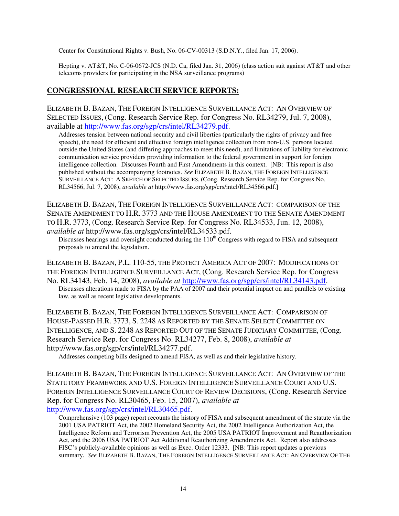Center for Constitutional Rights v. Bush, No. 06-CV-00313 (S.D.N.Y., filed Jan. 17, 2006).

Hepting v. AT&T, No. C-06-0672-JCS (N.D. Ca, filed Jan. 31, 2006) (class action suit against AT&T and other telecoms providers for participating in the NSA surveillance programs)

#### **CONGRESSIONAL RESEARCH SERVICE REPORTS:**

ELIZABETH B. BAZAN, THE FOREIGN INTELLIGENCE SURVEILLANCE ACT: AN OVERVIEW OF SELECTED ISSUES, (Cong. Research Service Rep. for Congress No. RL34279, Jul. 7, 2008), available at http://www.fas.org/sgp/crs/intel/RL34279.pdf.

Addresses tension between national security and civil liberties (particularly the rights of privacy and free speech), the need for efficient and effective foreign intelligence collection from non-U.S. persons located outside the United States (and differing approaches to meet this need), and limitations of liability for electronic communication service providers providing information to the federal government in support for foreign intelligence collection. Discusses Fourth and First Amendments in this context. [NB: This report is also published without the accompanying footnotes. *See* ELIZABETH B. BAZAN, THE FOREIGN INTELLIGENCE SURVEILLANCE ACT: A SKETCH OF SELECTED ISSUES, (Cong. Research Service Rep. for Congress No. RL34566, Jul. 7, 2008), *available at* http://www.fas.org/sgp/crs/intel/RL34566.pdf.]

ELIZABETH B. BAZAN, THE FOREIGN INTELLIGENCE SURVEILLANCE ACT: COMPARISON OF THE SENATE AMENDMENT TO H.R. 3773 AND THE HOUSE AMENDMENT TO THE SENATE AMENDMENT TO H.R. 3773, (Cong. Research Service Rep. for Congress No. RL34533, Jun. 12, 2008), *available at* http://www.fas.org/sgp/crs/intel/RL34533.pdf.

Discusses hearings and oversight conducted during the  $110<sup>th</sup>$  Congress with regard to FISA and subsequent proposals to amend the legislation.

ELIZABETH B. BAZAN, P.L. 110-55, THE PROTECT AMERICA ACT OF 2007: MODIFICATIONS OT THE FOREIGN INTELLIGENCE SURVEILLANCE ACT, (Cong. Research Service Rep. for Congress

No. RL34143, Feb. 14, 2008), *available at* http://www.fas.org/sgp/crs/intel/RL34143.pdf. Discusses alterations made to FISA by the PAA of 2007 and their potential impact on and parallels to existing law, as well as recent legislative developments.

ELIZABETH B. BAZAN, THE FOREIGN INTELLIGENCE SURVEILLANCE ACT: COMPARISON OF HOUSE-PASSED H.R. 3773, S. 2248 AS REPORTED BY THE SENATE SELECT COMMITTEE ON INTELLIGENCE, AND S. 2248 AS REPORTED OUT OF THE SENATE JUDICIARY COMMITTEE, (Cong. Research Service Rep. for Congress No. RL34277, Feb. 8, 2008), *available at* http://www.fas.org/sgp/crs/intel/RL34277.pdf.

Addresses competing bills designed to amend FISA, as well as and their legislative history.

ELIZABETH B. BAZAN, THE FOREIGN INTELLIGENCE SURVEILLANCE ACT: AN OVERVIEW OF THE STATUTORY FRAMEWORK AND U.S. FOREIGN INTELLIGENCE SURVEILLANCE COURT AND U.S. FOREIGN INTELLIGENCE SURVEILLANCE COURT OF REVIEW DECISIONS, (Cong. Research Service Rep. for Congress No. RL30465, Feb. 15, 2007), *available at*  http://www.fas.org/sgp/crs/intel/RL30465.pdf.

Comprehensive (103 page) report recounts the history of FISA and subsequent amendment of the statute via the 2001 USA PATRIOT Act, the 2002 Homeland Security Act, the 2002 Intelligence Authorization Act, the Intelligence Reform and Terrorism Prevention Act, the 2005 USA PATRIOT Improvement and Reauthorization Act, and the 2006 USA PATRIOT Act Additional Reauthorizing Amendments Act. Report also addresses FISC's publicly-available opinions as well as Exec. Order 12333. [NB: This report updates a previous summary. *See* ELIZABETH B. BAZAN, THE FOREIGN INTELLIGENCE SURVEILLANCE ACT: AN OVERVIEW OF THE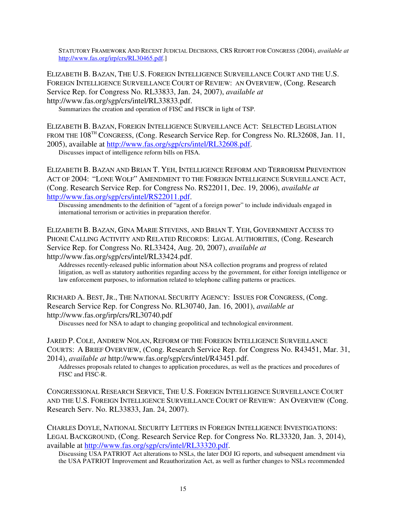STATUTORY FRAMEWORK AND RECENT JUDICIAL DECISIONS, CRS REPORT FOR CONGRESS (2004), *available at* http://www.fas.org/irp/crs/RL30465.pdf.]

ELIZABETH B. BAZAN, THE U.S. FOREIGN INTELLIGENCE SURVEILLANCE COURT AND THE U.S. FOREIGN INTELLIGENCE SURVEILLANCE COURT OF REVIEW: AN OVERVIEW, (Cong. Research Service Rep. for Congress No. RL33833, Jan. 24, 2007), *available at* http://www.fas.org/sgp/crs/intel/RL33833.pdf.

Summarizes the creation and operation of FISC and FISCR in light of TSP.

ELIZABETH B. BAZAN, FOREIGN INTELLIGENCE SURVEILLANCE ACT: SELECTED LEGISLATION FROM THE 108<sup>TH</sup> CONGRESS, (Cong. Research Service Rep. for Congress No. RL32608, Jan. 11, 2005), available at http://www.fas.org/sgp/crs/intel/RL32608.pdf.

Discusses impact of intelligence reform bills on FISA.

ELIZABETH B. BAZAN AND BRIAN T. YEH, INTELLIGENCE REFORM AND TERRORISM PREVENTION ACT OF 2004: "LONE WOLF" AMENDMENT TO THE FOREIGN INTELLIGENCE SURVEILLANCE ACT, (Cong. Research Service Rep. for Congress No. RS22011, Dec. 19, 2006), *available at* http://www.fas.org/sgp/crs/intel/RS22011.pdf.

Discussing amendments to the definition of "agent of a foreign power" to include individuals engaged in international terrorism or activities in preparation therefor.

ELIZABETH B. BAZAN, GINA MARIE STEVENS, AND BRIAN T. YEH, GOVERNMENT ACCESS TO PHONE CALLING ACTIVITY AND RELATED RECORDS: LEGAL AUTHORITIES, (Cong. Research Service Rep. for Congress No. RL33424, Aug. 20, 2007), *available at* http://www.fas.org/sgp/crs/intel/RL33424.pdf.

Addresses recently-released public information about NSA collection programs and progress of related litigation, as well as statutory authorities regarding access by the government, for either foreign intelligence or law enforcement purposes, to information related to telephone calling patterns or practices.

RICHARD A. BEST, JR., THE NATIONAL SECURITY AGENCY: ISSUES FOR CONGRESS, (Cong. Research Service Rep. for Congress No. RL30740, Jan. 16, 2001), *available at* http://www.fas.org/irp/crs/RL30740.pdf

Discusses need for NSA to adapt to changing geopolitical and technological environment.

JARED P. COLE, ANDREW NOLAN, REFORM OF THE FOREIGN INTELLIGENCE SURVEILLANCE COURTS: A BRIEF OVERVIEW, (Cong. Research Service Rep. for Congress No. R43451, Mar. 31, 2014), *available at* http://www.fas.org/sgp/crs/intel/R43451.pdf.

Addresses proposals related to changes to application procedures, as well as the practices and procedures of FISC and FISC-R.

CONGRESSIONAL RESEARCH SERVICE, THE U.S. FOREIGN INTELLIGENCE SURVEILLANCE COURT AND THE U.S. FOREIGN INTELLIGENCE SURVEILLANCE COURT OF REVIEW: AN OVERVIEW (Cong. Research Serv. No. RL33833, Jan. 24, 2007).

CHARLES DOYLE, NATIONAL SECURITY LETTERS IN FOREIGN INTELLIGENCE INVESTIGATIONS: LEGAL BACKGROUND, (Cong. Research Service Rep. for Congress No. RL33320, Jan. 3, 2014), available at http://www.fas.org/sgp/crs/intel/RL33320.pdf.

Discussing USA PATRIOT Act alterations to NSLs, the later DOJ IG reports, and subsequent amendment via the USA PATRIOT Improvement and Reauthorization Act, as well as further changes to NSLs recommended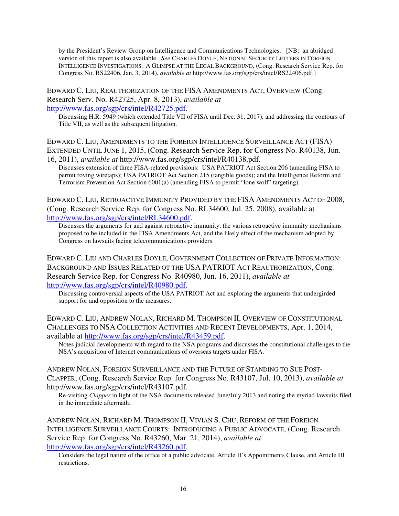by the President's Review Group on Intelligence and Communications Technologies. [NB: an abridged version of this report is also available. *See* CHARLES DOYLE, NATIONAL SECURITY LETTERS IN FOREIGN INTELLIGENCE INVESTIGATIONS: A GLIMPSE AT THE LEGAL BACKGROUND, (Cong. Research Service Rep. for Congress No. RS22406, Jan. 3, 2014), *available at* http://www.fas.org/sgp/crs/intel/RS22406.pdf.]

## EDWARD C. LIU, REAUTHORIZATION OF THE FISA AMENDMENTS ACT, OVERVIEW (Cong. Research Serv. No. R42725, Apr. 8, 2013), *available at*

http://www.fas.org/sgp/crs/intel/R42725.pdf.

Discussing H.R. 5949 (which extended Title VII of FISA until Dec. 31, 2017), and addressing the contours of Title VII, as well as the subsequent litigation.

EDWARD C. LIU, AMENDMENTS TO THE FOREIGN INTELLIGENCE SURVEILLANCE ACT (FISA) EXTENDED UNTIL JUNE 1, 2015, (Cong. Research Service Rep. for Congress No. R40138, Jun. 16, 2011), *available at* http://www.fas.org/sgp/crs/intel/R40138.pdf.

Discusses extension of three FISA-related provisions: USA PATRIOT Act Section 206 (amending FISA to permit roving wiretaps); USA PATRIOT Act Section 215 (tangible goods); and the Intelligence Reform and Terrorism Prevention Act Section 6001(a) (amending FISA to permit "lone wolf" targeting).

EDWARD C. LIU, RETROACTIVE IMMUNITY PROVIDED BY THE FISA AMENDMENTS ACT OF 2008, (Cong. Research Service Rep. for Congress No. RL34600, Jul. 25, 2008), available at http://www.fas.org/sgp/crs/intel/RL34600.pdf.

Discusses the arguments for and against retroactive immunity, the various retroactive immunity mechanisms proposed to be included in the FISA Amendments Act, and the likely effect of the mechanism adopted by Congress on lawsuits facing telecommunications providers.

EDWARD C. LIU AND CHARLES DOYLE, GOVERNMENT COLLECTION OF PRIVATE INFORMATION: BACKGROUND AND ISSUES RELATED OT THE USA PATRIOT ACT REAUTHORIZATION, Cong. Research Service Rep. for Congress No. R40980, Jun. 16, 2011), *available at* http://www.fas.org/sgp/crs/intel/R40980.pdf.

Discussing controversial aspects of the USA PATRIOT Act and exploring the arguments that undergirded support for and opposition to the measures.

EDWARD C. LIU, ANDREW NOLAN, RICHARD M. THOMPSON II, OVERVIEW OF CONSTITUTIONAL CHALLENGES TO NSA COLLECTION ACTIVITIES AND RECENT DEVELOPMENTS, Apr. 1, 2014, available at http://www.fas.org/sgp/crs/intel/R43459.pdf.

Notes judicial developments with regard to the NSA programs and discusses the constitutional challenges to the NSA's acquisition of Internet communications of overseas targets under FISA.

ANDREW NOLAN, FOREIGN SURVEILLANCE AND THE FUTURE OF STANDING TO SUE POST-CLAPPER, (Cong. Research Service Rep. for Congress No. R43107, Jul. 10, 2013), *available at* http://www.fas.org/sgp/crs/intel/R43107.pdf.

Re-visiting *Clapper* in light of the NSA documents released June/July 2013 and noting the myriad lawsuits filed in the immediate aftermath.

ANDREW NOLAN, RICHARD M. THOMPSON II, VIVIAN S. CHU, REFORM OF THE FOREIGN INTELLIGENCE SURVEILLANCE COURTS: INTRODUCING A PUBLIC ADVOCATE, (Cong. Research Service Rep. for Congress No. R43260, Mar. 21, 2014), *available at* http://www.fas.org/sgp/crs/intel/R43260.pdf.

Considers the legal nature of the office of a public advocate, Article II's Appointments Clause, and Article III restrictions.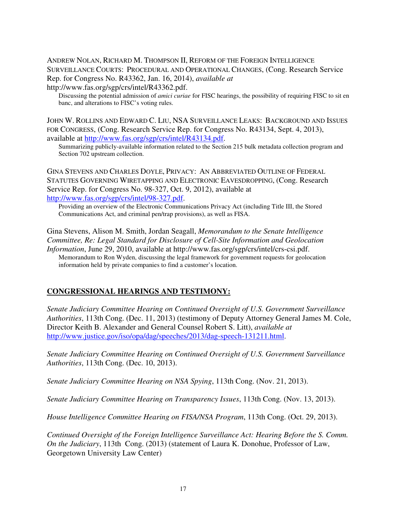ANDREW NOLAN, RICHARD M. THOMPSON II, REFORM OF THE FOREIGN INTELLIGENCE SURVEILLANCE COURTS: PROCEDURAL AND OPERATIONAL CHANGES, (Cong. Research Service Rep. for Congress No. R43362, Jan. 16, 2014), *available at* http://www.fas.org/sgp/crs/intel/R43362.pdf.

Discussing the potential admission of *amici curiae* for FISC hearings, the possibility of requiring FISC to sit en banc, and alterations to FISC's voting rules.

JOHN W. ROLLINS AND EDWARD C. LIU, NSA SURVEILLANCE LEAKS: BACKGROUND AND ISSUES FOR CONGRESS, (Cong. Research Service Rep. for Congress No. R43134, Sept. 4, 2013), available at http://www.fas.org/sgp/crs/intel/R43134.pdf.

Summarizing publicly-available information related to the Section 215 bulk metadata collection program and Section 702 upstream collection.

GINA STEVENS AND CHARLES DOYLE, PRIVACY: AN ABBREVIATED OUTLINE OF FEDERAL STATUTES GOVERNING WIRETAPPING AND ELECTRONIC EAVESDROPPING, (Cong. Research Service Rep. for Congress No. 98-327, Oct. 9, 2012), available at http://www.fas.org/sgp/crs/intel/98-327.pdf.

Providing an overview of the Electronic Communications Privacy Act (including Title III, the Stored Communications Act, and criminal pen/trap provisions), as well as FISA.

Gina Stevens, Alison M. Smith, Jordan Seagall, *Memorandum to the Senate Intelligence Committee, Re: Legal Standard for Disclosure of Cell-Site Information and Geolocation Information*, June 29, 2010, available at http://www.fas.org/sgp/crs/intel/crs-csi.pdf. Memorandum to Ron Wyden, discussing the legal framework for government requests for geolocation information held by private companies to find a customer's location.

## **CONGRESSIONAL HEARINGS AND TESTIMONY:**

*Senate Judiciary Committee Hearing on Continued Oversight of U.S. Government Surveillance Authorities*, 113th Cong. (Dec. 11, 2013) (testimony of Deputy Attorney General James M. Cole, Director Keith B. Alexander and General Counsel Robert S. Litt), *available at* http://www.justice.gov/iso/opa/dag/speeches/2013/dag-speech-131211.html.

*Senate Judiciary Committee Hearing on Continued Oversight of U.S. Government Surveillance Authorities*, 113th Cong. (Dec. 10, 2013).

*Senate Judiciary Committee Hearing on NSA Spying*, 113th Cong. (Nov. 21, 2013).

*Senate Judiciary Committee Hearing on Transparency Issues*, 113th Cong. (Nov. 13, 2013).

*House Intelligence Committee Hearing on FISA/NSA Program*, 113th Cong. (Oct. 29, 2013).

*Continued Oversight of the Foreign Intelligence Surveillance Act: Hearing Before the S. Comm. On the Judiciary*, 113th Cong. (2013) (statement of Laura K. Donohue, Professor of Law, Georgetown University Law Center)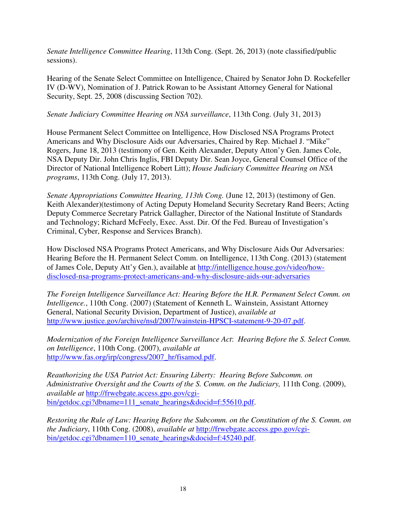*Senate Intelligence Committee Hearing*, 113th Cong. (Sept. 26, 2013) (note classified/public sessions).

Hearing of the Senate Select Committee on Intelligence, Chaired by Senator John D. Rockefeller IV (D-WV), Nomination of J. Patrick Rowan to be Assistant Attorney General for National Security, Sept. 25, 2008 (discussing Section 702).

### *Senate Judiciary Committee Hearing on NSA surveillance*, 113th Cong. (July 31, 2013)

House Permanent Select Committee on Intelligence, How Disclosed NSA Programs Protect Americans and Why Disclosure Aids our Adversaries, Chaired by Rep. Michael J. "Mike" Rogers, June 18, 2013 (testimony of Gen. Keith Alexander, Deputy Atton'y Gen. James Cole, NSA Deputy Dir. John Chris Inglis, FBI Deputy Dir. Sean Joyce, General Counsel Office of the Director of National Intelligence Robert Litt); *House Judiciary Committee Hearing on NSA programs*, 113th Cong. (July 17, 2013).

*Senate Appropriations Committee Hearing, 113th Cong.* (June 12, 2013) (testimony of Gen. Keith Alexander)(testimony of Acting Deputy Homeland Security Secretary Rand Beers; Acting Deputy Commerce Secretary Patrick Gallagher, Director of the National Institute of Standards and Technology; Richard McFeely, Exec. Asst. Dir. Of the Fed. Bureau of Investigation's Criminal, Cyber, Response and Services Branch).

How Disclosed NSA Programs Protect Americans, and Why Disclosure Aids Our Adversaries: Hearing Before the H. Permanent Select Comm. on Intelligence, 113th Cong. (2013) (statement of James Cole, Deputy Att'y Gen.), available at http://intelligence.house.gov/video/howdisclosed-nsa-programs-protect-americans-and-why-disclosure-aids-our-adversaries

*The Foreign Intelligence Surveillance Act: Hearing Before the H.R. Permanent Select Comm. on Intelligence.*, 110th Cong. (2007) (Statement of Kenneth L. Wainstein, Assistant Attorney General, National Security Division, Department of Justice), *available at* http://www.justice.gov/archive/nsd/2007/wainstein-HPSCI-statement-9-20-07.pdf.

*Modernization of the Foreign Intelligence Surveillance Act*: *Hearing Before the S. Select Comm. on Intelligence*, 110th Cong. (2007), *available at* http://www.fas.org/irp/congress/2007\_hr/fisamod.pdf.

*Reauthorizing the USA Patriot Act: Ensuring Liberty: Hearing Before Subcomm. on Administrative Oversight and the Courts of the S. Comm. on the Judiciary,* 111th Cong. (2009), *available at* http://frwebgate.access.gpo.gov/cgibin/getdoc.cgi?dbname=111\_senate\_hearings&docid=f:55610.pdf.

*Restoring the Rule of Law: Hearing Before the Subcomm. on the Constitution of the S. Comm. on the Judiciary*, 110th Cong. (2008), *available at* http://frwebgate.access.gpo.gov/cgibin/getdoc.cgi?dbname=110\_senate\_hearings&docid=f:45240.pdf.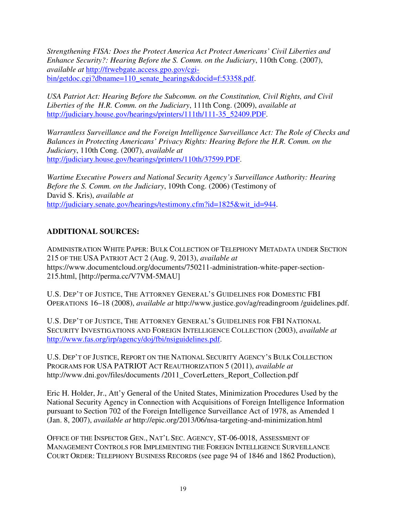*Strengthening FISA: Does the Protect America Act Protect Americans' Civil Liberties and Enhance Security?: Hearing Before the S. Comm. on the Judiciary*, 110th Cong. (2007), *available at* http://frwebgate.access.gpo.gov/cgibin/getdoc.cgi?dbname=110\_senate\_hearings&docid=f:53358.pdf.

*USA Patriot Act: Hearing Before the Subcomm. on the Constitution, Civil Rights, and Civil Liberties of the H.R. Comm. on the Judiciary*, 111th Cong. (2009), *available at*  http://judiciary.house.gov/hearings/printers/111th/111-35\_52409.PDF.

*Warrantless Surveillance and the Foreign Intelligence Surveillance Act: The Role of Checks and Balances in Protecting Americans' Privacy Rights: Hearing Before the H.R. Comm. on the Judiciary*, 110th Cong. (2007), *available at*  http://judiciary.house.gov/hearings/printers/110th/37599.PDF.

*Wartime Executive Powers and National Security Agency's Surveillance Authority: Hearing Before the S. Comm. on the Judiciary*, 109th Cong. (2006) (Testimony of David S. Kris), *available at*  http://judiciary.senate.gov/hearings/testimony.cfm?id=1825&wit\_id=944.

## **ADDITIONAL SOURCES:**

ADMINISTRATION WHITE PAPER: BULK COLLECTION OF TELEPHONY METADATA UNDER SECTION 215 OF THE USA PATRIOT ACT 2 (Aug. 9, 2013), *available at* https://www.documentcloud.org/documents/750211-administration-white-paper-section-215.html, [http://perma.cc/V7VM-5MAU]

U.S. DEP'T OF JUSTICE, THE ATTORNEY GENERAL'S GUIDELINES FOR DOMESTIC FBI OPERATIONS 16–18 (2008), *available at* http://www.justice.gov/ag/readingroom /guidelines.pdf.

U.S. DEP'T OF JUSTICE, THE ATTORNEY GENERAL'S GUIDELINES FOR FBI NATIONAL SECURITY INVESTIGATIONS AND FOREIGN INTELLIGENCE COLLECTION (2003), *available at* http://www.fas.org/irp/agency/doj/fbi/nsiguidelines.pdf.

U.S. DEP'T OF JUSTICE, REPORT ON THE NATIONAL SECURITY AGENCY'S BULK COLLECTION PROGRAMS FOR USA PATRIOT ACT REAUTHORIZATION 5 (2011), *available at*  http://www.dni.gov/files/documents /2011\_CoverLetters\_Report\_Collection.pdf

Eric H. Holder, Jr., Att'y General of the United States, Minimization Procedures Used by the National Security Agency in Connection with Acquisitions of Foreign Intelligence Information pursuant to Section 702 of the Foreign Intelligence Surveillance Act of 1978, as Amended 1 (Jan. 8, 2007), *available at* http://epic.org/2013/06/nsa-targeting-and-minimization.html

OFFICE OF THE INSPECTOR GEN., NAT'L SEC. AGENCY, ST-06-0018, ASSESSMENT OF MANAGEMENT CONTROLS FOR IMPLEMENTING THE FOREIGN INTELLIGENCE SURVEILLANCE COURT ORDER: TELEPHONY BUSINESS RECORDS (see page 94 of 1846 and 1862 Production),